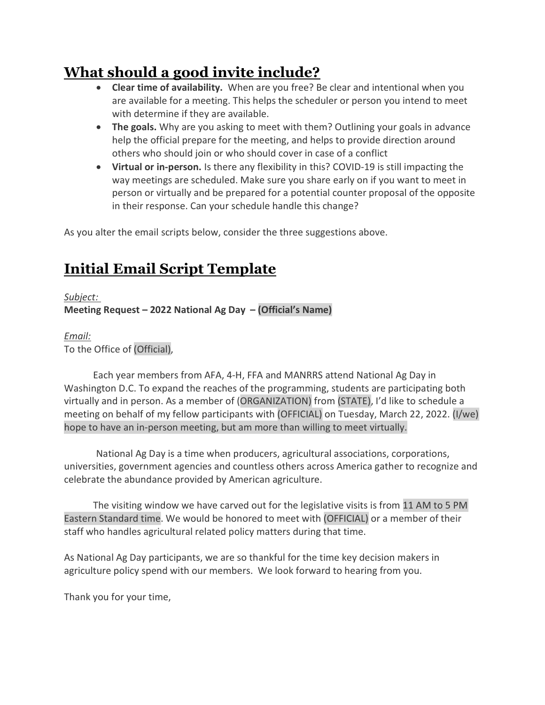## What should a good invite include?

- Clear time of availability. When are you free? Be clear and intentional when you are available for a meeting. This helps the scheduler or person you intend to meet with determine if they are available.
- The goals. Why are you asking to meet with them? Outlining your goals in advance help the official prepare for the meeting, and helps to provide direction around others who should join or who should cover in case of a conflict
- Virtual or in-person. Is there any flexibility in this? COVID-19 is still impacting the way meetings are scheduled. Make sure you share early on if you want to meet in person or virtually and be prepared for a potential counter proposal of the opposite in their response. Can your schedule handle this change?

As you alter the email scripts below, consider the three suggestions above.

## Initial Email Script Template

Subject:

Meeting Request – 2022 National Ag Day – (Official's Name)

## Email:

To the Office of (Official),

 Each year members from AFA, 4-H, FFA and MANRRS attend National Ag Day in Washington D.C. To expand the reaches of the programming, students are participating both virtually and in person. As a member of (ORGANIZATION) from (STATE), I'd like to schedule a meeting on behalf of my fellow participants with (OFFICIAL) on Tuesday, March 22, 2022. (I/we) hope to have an in-person meeting, but am more than willing to meet virtually.

National Ag Day is a time when producers, agricultural associations, corporations, universities, government agencies and countless others across America gather to recognize and celebrate the abundance provided by American agriculture.

 The visiting window we have carved out for the legislative visits is from 11 AM to 5 PM Eastern Standard time. We would be honored to meet with (OFFICIAL) or a member of their staff who handles agricultural related policy matters during that time.

As National Ag Day participants, we are so thankful for the time key decision makers in agriculture policy spend with our members. We look forward to hearing from you.

Thank you for your time,